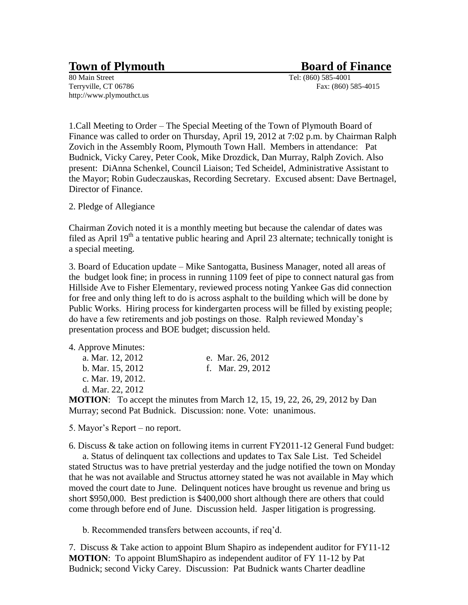# **Town of Plymouth Board of Finance**

80 Main Street Tel: (860) 585-4001 http://www.plymouthct.us

Terryville, CT 06786 Fax: (860) 585-4015

1.Call Meeting to Order – The Special Meeting of the Town of Plymouth Board of Finance was called to order on Thursday, April 19, 2012 at 7:02 p.m. by Chairman Ralph Zovich in the Assembly Room, Plymouth Town Hall. Members in attendance: Pat Budnick, Vicky Carey, Peter Cook, Mike Drozdick, Dan Murray, Ralph Zovich. Also present: DiAnna Schenkel, Council Liaison; Ted Scheidel, Administrative Assistant to the Mayor; Robin Gudeczauskas, Recording Secretary. Excused absent: Dave Bertnagel, Director of Finance.

2. Pledge of Allegiance

Chairman Zovich noted it is a monthly meeting but because the calendar of dates was filed as April  $19<sup>th</sup>$  a tentative public hearing and April 23 alternate; technically tonight is a special meeting.

3. Board of Education update – Mike Santogatta, Business Manager, noted all areas of the budget look fine; in process in running 1109 feet of pipe to connect natural gas from Hillside Ave to Fisher Elementary, reviewed process noting Yankee Gas did connection for free and only thing left to do is across asphalt to the building which will be done by Public Works. Hiring process for kindergarten process will be filled by existing people; do have a few retirements and job postings on those. Ralph reviewed Monday's presentation process and BOE budget; discussion held.

4. Approve Minutes:

| a. Mar. 12, 2012                | e. Mar. 26, 2012 |
|---------------------------------|------------------|
| b. Mar. 15, 2012                | f. Mar. 29, 2012 |
| c. Mar. 19, 2012.               |                  |
| d. Mar. 22, 2012                |                  |
| MILONE TELL AND STRUCK AND LOTE |                  |

**MOTION**: To accept the minutes from March 12, 15, 19, 22, 26, 29, 2012 by Dan Murray; second Pat Budnick. Discussion: none. Vote: unanimous.

5. Mayor's Report – no report.

6. Discuss & take action on following items in current FY2011-12 General Fund budget:

a. Status of delinquent tax collections and updates to Tax Sale List. Ted Scheidel stated Structus was to have pretrial yesterday and the judge notified the town on Monday that he was not available and Structus attorney stated he was not available in May which moved the court date to June. Delinquent notices have brought us revenue and bring us short \$950,000. Best prediction is \$400,000 short although there are others that could come through before end of June. Discussion held. Jasper litigation is progressing.

b. Recommended transfers between accounts, if req'd.

7. Discuss & Take action to appoint Blum Shapiro as independent auditor for FY11-12 **MOTION**: To appoint BlumShapiro as independent auditor of FY 11-12 by Pat Budnick; second Vicky Carey. Discussion: Pat Budnick wants Charter deadline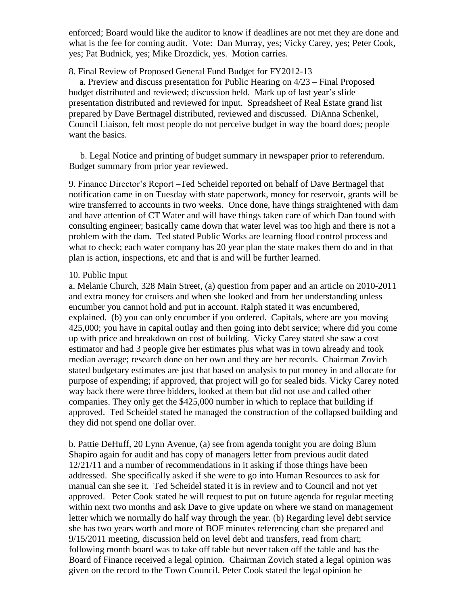enforced; Board would like the auditor to know if deadlines are not met they are done and what is the fee for coming audit. Vote: Dan Murray, yes; Vicky Carey, yes; Peter Cook, yes; Pat Budnick, yes; Mike Drozdick, yes. Motion carries.

# 8. Final Review of Proposed General Fund Budget for FY2012-13

 a. Preview and discuss presentation for Public Hearing on 4/23 – Final Proposed budget distributed and reviewed; discussion held. Mark up of last year's slide presentation distributed and reviewed for input. Spreadsheet of Real Estate grand list prepared by Dave Bertnagel distributed, reviewed and discussed. DiAnna Schenkel, Council Liaison, felt most people do not perceive budget in way the board does; people want the basics.

 b. Legal Notice and printing of budget summary in newspaper prior to referendum. Budget summary from prior year reviewed.

9. Finance Director's Report –Ted Scheidel reported on behalf of Dave Bertnagel that notification came in on Tuesday with state paperwork, money for reservoir, grants will be wire transferred to accounts in two weeks. Once done, have things straightened with dam and have attention of CT Water and will have things taken care of which Dan found with consulting engineer; basically came down that water level was too high and there is not a problem with the dam. Ted stated Public Works are learning flood control process and what to check; each water company has 20 year plan the state makes them do and in that plan is action, inspections, etc and that is and will be further learned.

### 10. Public Input

a. Melanie Church, 328 Main Street, (a) question from paper and an article on 2010-2011 and extra money for cruisers and when she looked and from her understanding unless encumber you cannot hold and put in account. Ralph stated it was encumbered, explained. (b) you can only encumber if you ordered. Capitals, where are you moving 425,000; you have in capital outlay and then going into debt service; where did you come up with price and breakdown on cost of building. Vicky Carey stated she saw a cost estimator and had 3 people give her estimates plus what was in town already and took median average; research done on her own and they are her records. Chairman Zovich stated budgetary estimates are just that based on analysis to put money in and allocate for purpose of expending; if approved, that project will go for sealed bids. Vicky Carey noted way back there were three bidders, looked at them but did not use and called other companies. They only get the \$425,000 number in which to replace that building if approved. Ted Scheidel stated he managed the construction of the collapsed building and they did not spend one dollar over.

b. Pattie DeHuff, 20 Lynn Avenue, (a) see from agenda tonight you are doing Blum Shapiro again for audit and has copy of managers letter from previous audit dated 12/21/11 and a number of recommendations in it asking if those things have been addressed. She specifically asked if she were to go into Human Resources to ask for manual can she see it. Ted Scheidel stated it is in review and to Council and not yet approved. Peter Cook stated he will request to put on future agenda for regular meeting within next two months and ask Dave to give update on where we stand on management letter which we normally do half way through the year. (b) Regarding level debt service she has two years worth and more of BOF minutes referencing chart she prepared and 9/15/2011 meeting, discussion held on level debt and transfers, read from chart; following month board was to take off table but never taken off the table and has the Board of Finance received a legal opinion. Chairman Zovich stated a legal opinion was given on the record to the Town Council. Peter Cook stated the legal opinion he